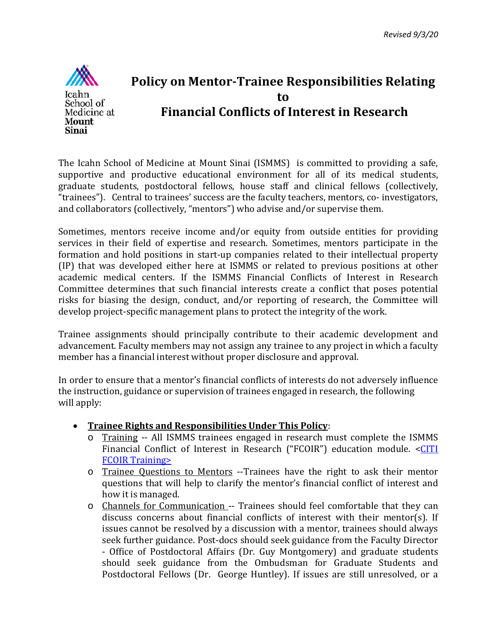

The Icahn School of Medicine at Mount Sinai (ISMMS) is committed to providing a safe, supportive and productive educational environment for all of its medical students, graduate students, postdoctoral fellows, house staff and clinical fellows (collectively, "trainees"). Central to trainees' success are the faculty teachers, mentors, co- investigators, and collaborators (collectively, "mentors") who advise and/or supervise them.

Sometimes, mentors receive income and/or equity from outside entities for providing services in their field of expertise and research. Sometimes, mentors participate in the formation and hold positions in start-up companies related to their intellectual property (IP) that was developed either here at ISMMS or related to previous positions at other academic medical centers. If the ISMMS Financial Conflicts of Interest in Research Committee determines that such financial interests create a conflict that poses potential risks for biasing the design, conduct, and/or reporting of research, the Committee will develop project-specific management plans to protect the integrity of the work.

Trainee assignments should principally contribute to their academic development and advancement. Faculty members may not assign any trainee to any project in which a faculty member has a financial interest without proper disclosure and approval.

In order to ensure that a mentor's financial conflicts of interests do not adversely influence the instruction, guidance or supervision of trainees engaged in research, the following will apply:

- **Trainee Rights and Responsibilities Under This Policy** :
	- o Training -- All ISMMS trainees engaged in research must complete the ISMMS Financial Conflict of Interest in Research ("FCOIR") education module. <CITI FCOIR Training>
	- o Trainee Questions to Mentors --Trainees have the right to ask their mentor questions that will help to clarify the mentor's financial conflict of interest and how it is managed.
	- o Channels for Communication -- Trainees should feel comfortable that they can discuss concerns about financial conflicts of interest with their mentor(s). If issues cannot be resolved by a discussion with a mentor, trainees should always seek further guidance. Post-docs should seek guidance from the Faculty Director - Office of Postdoctoral Affairs (Dr. Guy Montgomery) and graduate students should seek guidance from the Ombudsman for Graduate Students and Postdoctoral Fellows (Dr. George Huntley). If issues are still unresolved, or a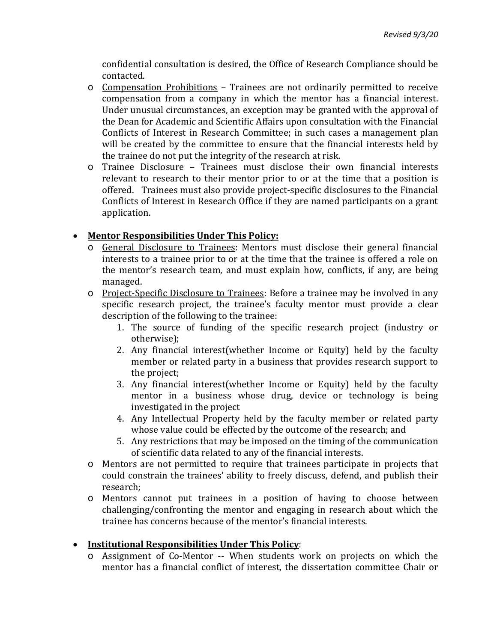confidential consultation is desired, the Office of Research Compliance should be contacted.

- o Compensation Prohibitions Trainees are not ordinarily permitted to receive compensation from a company in which the mentor has a financial interest. Under unusual circumstances, an exception may be granted with the approval of the Dean for Academic and Scientific Affairs upon consultation with the Financial Conflicts of Interest in Research Committee; in such cases a management plan will be created by the committee to ensure that the financial interests held by the trainee do not put the integrity of the research at risk.
- o Trainee Disclosure Trainees must disclose their own financial interests relevant to research to their mentor prior to or at the time that a position is offered. Trainees must also provide project-specific disclosures to the Financial Conflicts of Interest in Research Office if they are named participants on a grant application.

## • **Mentor Responsibilities Under This Policy:**

- o General Disclosure to Trainees : Mentors must disclose their general financial interests to a trainee prior to or at the time that the trainee is offered a role on the mentor's research team, and must explain how, conflicts, if any, are being managed.
- o <u>Project-Specific Disclosure to Trainees</u>: Before a trainee may be involved in any specific research project, the trainee's faculty mentor must provide a clear description of the following to the trainee:
	- 1. The source of funding of the specific research project (industry or otherwise);
	- 2. Any financial interest(whether Income or Equity) held by the faculty member or related party in a business that provides research support to the project;
	- 3. Any financial interest(whether Income or Equity) held by the faculty mentor in a business whose drug, device or technology is being investigated in the project
	- 4. Any Intellectual Property held by the faculty member or related party whose value could be effected by the outcome of the research; and
	- 5. Any restrictions that may be imposed on the timing of the communication of scientific data related to any of the financial interests.
- o Mentors are not permitted to require that trainees participate in projects that could constrain the trainees' ability to freely discuss, defend, and publish their research;
- o Mentors cannot put trainees in a position of having to choose between challenging/confronting the mentor and engaging in research about which the trainee has concerns because of the mentor's financial interests.

## • **Institutional Responsibilities Under This Policy** :

o Assignment of Co-Mentor -- When students work on projects on which the mentor has a financial conflict of interest, the dissertation committee Chair or